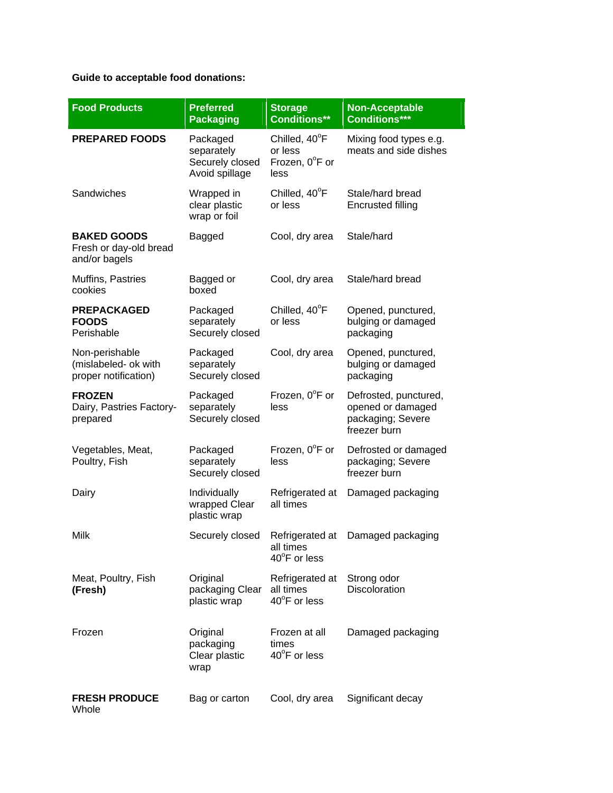## **Guide to acceptable food donations:**

| <b>Food Products</b>                                           | <b>Preferred</b><br><b>Packaging</b>                        | <b>Storage</b><br><b>Conditions**</b>              | <b>Non-Acceptable</b><br><b>Conditions***</b>                                   |
|----------------------------------------------------------------|-------------------------------------------------------------|----------------------------------------------------|---------------------------------------------------------------------------------|
| <b>PREPARED FOODS</b>                                          | Packaged<br>separately<br>Securely closed<br>Avoid spillage | Chilled, 40°F<br>or less<br>Frozen, 0°F or<br>less | Mixing food types e.g.<br>meats and side dishes                                 |
| Sandwiches                                                     | Wrapped in<br>clear plastic<br>wrap or foil                 | Chilled, 40°F<br>or less                           | Stale/hard bread<br><b>Encrusted filling</b>                                    |
| <b>BAKED GOODS</b><br>Fresh or day-old bread<br>and/or bagels  | Bagged                                                      | Cool, dry area                                     | Stale/hard                                                                      |
| Muffins, Pastries<br>cookies                                   | Bagged or<br>boxed                                          | Cool, dry area                                     | Stale/hard bread                                                                |
| <b>PREPACKAGED</b><br><b>FOODS</b><br>Perishable               | Packaged<br>separately<br>Securely closed                   | Chilled, 40°F<br>or less                           | Opened, punctured,<br>bulging or damaged<br>packaging                           |
| Non-perishable<br>(mislabeled- ok with<br>proper notification) | Packaged<br>separately<br>Securely closed                   | Cool, dry area                                     | Opened, punctured,<br>bulging or damaged<br>packaging                           |
| <b>FROZEN</b><br>Dairy, Pastries Factory-<br>prepared          | Packaged<br>separately<br>Securely closed                   | Frozen, $0^{\circ}$ F or<br>less                   | Defrosted, punctured,<br>opened or damaged<br>packaging; Severe<br>freezer burn |
| Vegetables, Meat,<br>Poultry, Fish                             | Packaged<br>separately<br>Securely closed                   | Frozen, $0^{\circ}$ F or<br>less                   | Defrosted or damaged<br>packaging; Severe<br>freezer burn                       |
| Dairy                                                          | Individually<br>wrapped Clear<br>plastic wrap               | Refrigerated at<br>all times                       | Damaged packaging                                                               |
| Milk                                                           | Securely closed                                             | Refrigerated at<br>all times<br>40°F or less       | Damaged packaging                                                               |
| Meat, Poultry, Fish<br>(Fresh)                                 | Original<br>packaging Clear<br>plastic wrap                 | Refrigerated at<br>all times<br>40°F or less       | Strong odor<br><b>Discoloration</b>                                             |
| Frozen                                                         | Original<br>packaging<br>Clear plastic<br>wrap              | Frozen at all<br>times<br>40°F or less             | Damaged packaging                                                               |
| <b>FRESH PRODUCE</b><br>Whole                                  | Bag or carton                                               | Cool, dry area                                     | Significant decay                                                               |